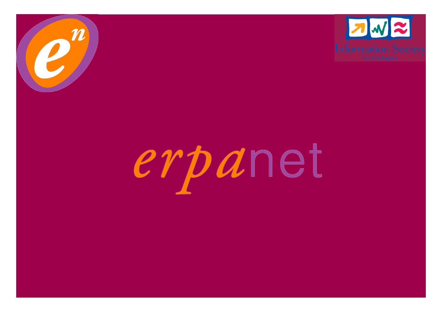



# erpanet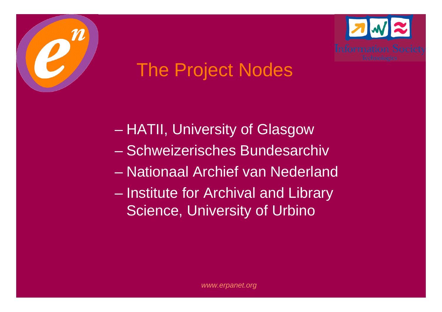



## The Project Nodes

- $\mathcal{L}_{\mathcal{A}}$  , where  $\mathcal{L}_{\mathcal{A}}$  is the set of the set of the set of the set of the set of the set of the set of the set of the set of the set of the set of the set of the set of the set of the set of the set of the HATII, University of Glasgow
- Schweizerisches Bundesarchiv
- Nationaal Archief van Nederland
- $\mathcal{L}_{\mathcal{A}}$  , where  $\mathcal{L}_{\mathcal{A}}$  is the set of the set of the set of the set of the set of the set of the set of the set of the set of the set of the set of the set of the set of the set of the set of the set of the Institute for Archival and Library Science, University of Urbino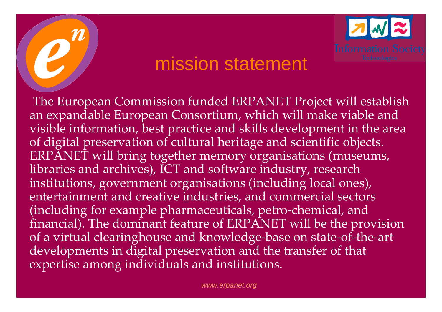## mission statement

The European Commission funded ERPANET Project will establish an expandable European Consortium, which will make viable and visible information, best practice and skills development in the area of digital preservation of cultural heritage and scientific objects. ERPANET will bring together memory organisations (museums, libraries and archives), ICT and software industry, research institutions, government organisations (including local ones), entertainment and creative industries, and commercial sectors (including for example pharmaceuticals, petro-chemical, and financial). The dominant feature of ERPANET will be the provision of a virtual clearinghouse and knowledge-base on state-of-the-art developments in digital preservation and the transfer of that expertise among individuals and institutions.

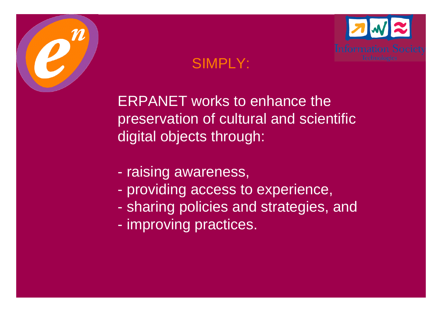



ERPANET works to enhance the preservation of cultural and scientific digital objects through:

- raising awareness,
- providing access to experience,
- sharing policies and strategies, and
- improving practices.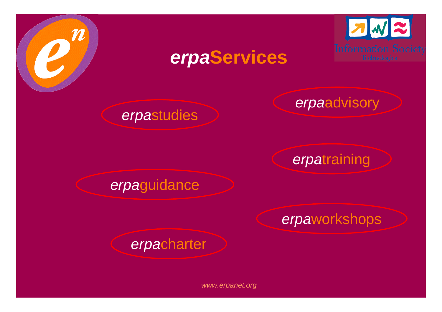



## *erpa***Services**

*erpa*advisory

## *erpa*training

#### *erpa*guidance

*erpa*studies

#### *erpa*workshops

#### *erpa*charter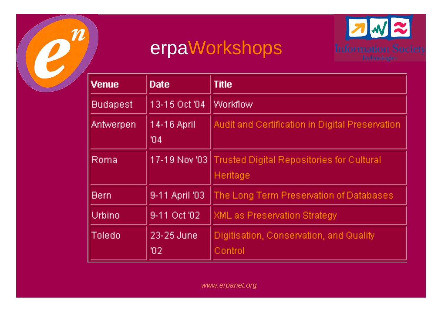

## erpaWorkshops



| <b>Venue</b>    | <b>Date</b>                    | <b>Title</b>                                       |
|-----------------|--------------------------------|----------------------------------------------------|
| <b>Budapest</b> | 13-15 Oct '04                  | <b>Workflow</b>                                    |
| Antwerpen       | 14-16 April<br>104             | Audit and Certification in Digital Preservation    |
| Roma            | 17-19 Nov '03                  | Trusted Digital Repositories for Cultural          |
|                 |                                | Heritage                                           |
| Bern            | 9-11 April '03                 | The Long Term Preservation of Databases            |
| Urbino          | 9-11 Oct 02                    | <b>XML</b> as Preservation Strategy                |
| Toledo          | 23-25 June<br>102 <sub>1</sub> | Digitisation, Conservation, and Quality<br>Control |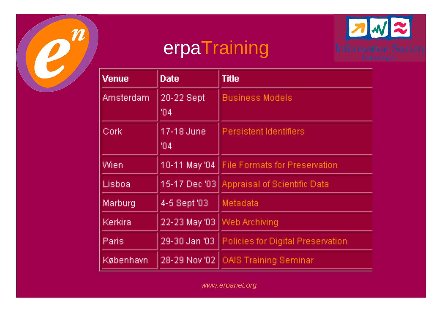

# **erpaTraining**



| Venue     | <b>Date</b>       | Title                                    |
|-----------|-------------------|------------------------------------------|
| Amsterdam | 20-22 Sept<br>104 | <b>Business Models</b>                   |
| Cork      | 17-18 June<br>104 | <b>Persistent Identifiers</b>            |
| Wien      | 10-11 May '04     | <b>File Formats for Preservation</b>     |
| Lisboa    | 15-17 Dec '03     | Appraisal of Scientific Data             |
| Marburg   | 4-5 Sept '03      | Metadata                                 |
| Kerkira   | 22-23 May '03     | Web Archiving                            |
| Paris     | 29-30 Jan '03     | <b>Policies for Digital Preservation</b> |
| København | 28-29 Nov '02     | <b>OAIS Training Seminar</b>             |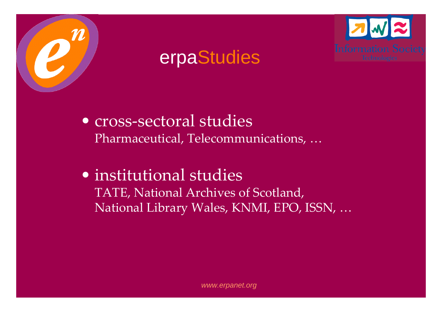

### erpaStudies



#### • institutional studies TATE, National Archives of Scotland, National Library Wales, KNMI, EPO, ISSN, …

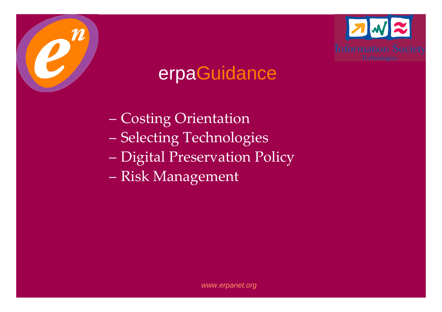

## erpaGuidance

- Costing Orientation
- $\sim$ Selecting Technologies
- Digital Preservation Policy
- Risk Management